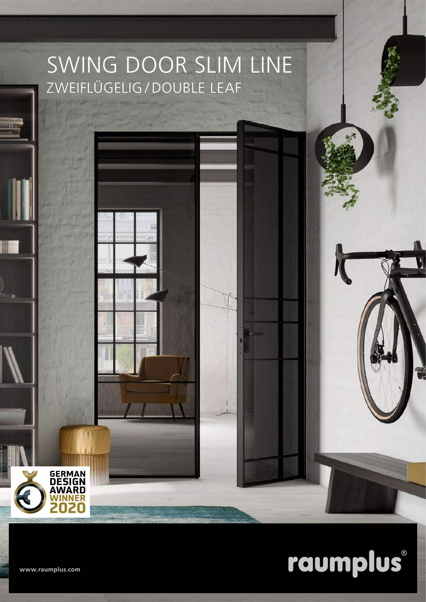## SWING DOOR SLIM LINE ZWEIFLÜGELIG / DOUBLE LEAF



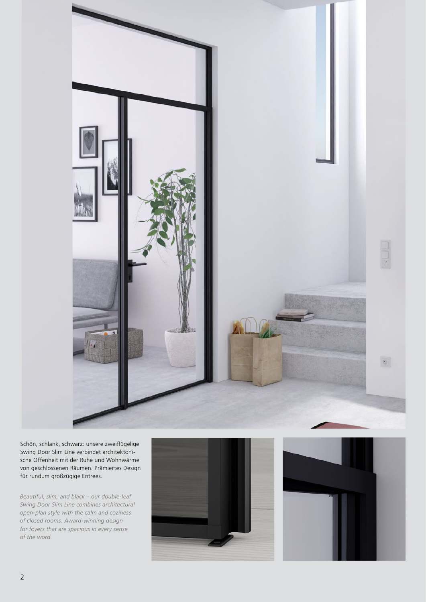

Schön, schlank, schwarz: unsere zweiflügelige Swing Door Slim Line verbindet architektonische Offenheit mit der Ruhe und Wohnwärme von geschlossenen Räumen. Prämiertes Design für rundum großzügige Entrees.

*Beautiful, slim, and black – our double-leaf Swing Door Slim Line combines architectural open-plan style with the calm and coziness of closed rooms. Award-winning design for foyers that are spacious in every sense of the word.*



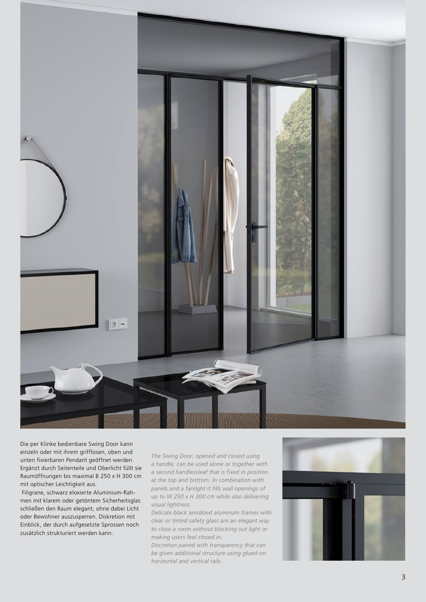

Die per Klinke bedienbare Swing Door kann einzeln oder mit ihrem grifflosen, oben und unten fixierbaren Pendant geöffnet werden. Ergänzt durch Seitenteile und Oberlicht füllt sie Raumöffnungen bis maximal B 250 x H 300 cm mit optischer Leichtigkeit aus.

 Filigrane, schwarz eloxierte Aluminium-Rah men mit klarem oder getöntem Sicherheitsglas schließen den Raum elegant, ohne dabei Licht oder Bewohner auszusperren. Diskretion mit Einblick, der durch aufgesetzte Sprossen noch zusätzlich strukturiert werden kann.

*The Swing Door, opened and closed using a handle, can be used alone or together with a second handlessleaf that is fixed in position at the top and bottom. In combination with panels and a fanlight it fills wall openings of up to W 250 x H 300 cm while also delivering visual lightness.* 

*Delicate black anodized aluminum frames with clear or tinted safety glass are an elegant way to close a room without blocking out light or making users feel closed in.* 

*Discretion paired with transparency that can be given additional structure using glued-on horizontal and vertical rails.*